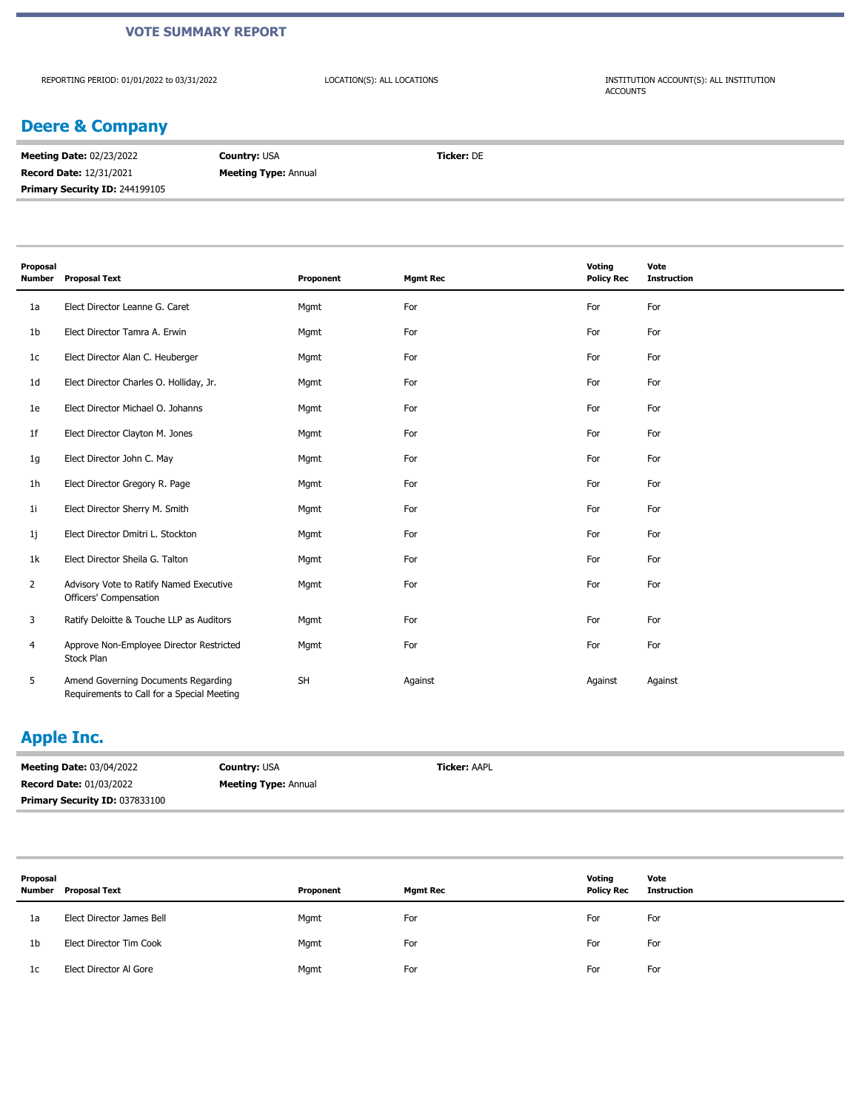#### **VOTE SUMMARY REPORT**

REPORTING PERIOD: 01/01/2022 to 03/31/2022

LOCATION(S): ALL LOCATIONS INSTITUTION ACCOUNT(S): ALL INSTITUTION ACCOUNTS

## **Deere & Company**

| <b>Meeting Date: 02/23/2022</b>       | <b>Country: USA</b>         | <b>Ticker: DE</b> |
|---------------------------------------|-----------------------------|-------------------|
| <b>Record Date: 12/31/2021</b>        | <b>Meeting Type: Annual</b> |                   |
| <b>Primary Security ID: 244199105</b> |                             |                   |

| Proposal<br><b>Number</b> | <b>Proposal Text</b>                                                              | Proponent | <b>Mgmt Rec</b> | Voting<br><b>Policy Rec</b> | Vote<br><b>Instruction</b> |
|---------------------------|-----------------------------------------------------------------------------------|-----------|-----------------|-----------------------------|----------------------------|
| 1a                        | Elect Director Leanne G. Caret                                                    | Mgmt      | For             | For                         | For                        |
| 1b                        | Elect Director Tamra A. Erwin                                                     | Mgmt      | For             | For                         | For                        |
| 1c                        | Elect Director Alan C. Heuberger                                                  | Mgmt      | For             | For                         | For                        |
| 1 <sub>d</sub>            | Elect Director Charles O. Holliday, Jr.                                           | Mgmt      | For             | For                         | For                        |
| 1e                        | Elect Director Michael O. Johanns                                                 | Mgmt      | For             | For                         | For                        |
| 1f                        | Elect Director Clayton M. Jones                                                   | Mgmt      | For             | For                         | For                        |
| 1g                        | Elect Director John C. May                                                        | Mgmt      | For             | For                         | For                        |
| 1 <sub>h</sub>            | Elect Director Gregory R. Page                                                    | Mgmt      | For             | For                         | For                        |
| 1 <sub>i</sub>            | Elect Director Sherry M. Smith                                                    | Mgmt      | For             | For                         | For                        |
| 1j                        | Elect Director Dmitri L. Stockton                                                 | Mgmt      | For             | For                         | For                        |
| 1k                        | Elect Director Sheila G. Talton                                                   | Mgmt      | For             | For                         | For                        |
| $\overline{2}$            | Advisory Vote to Ratify Named Executive<br>Officers' Compensation                 | Mgmt      | For             | For                         | For                        |
| 3                         | Ratify Deloitte & Touche LLP as Auditors                                          | Mgmt      | For             | For                         | For                        |
| 4                         | Approve Non-Employee Director Restricted<br>Stock Plan                            | Mgmt      | For             | For                         | For                        |
| 5                         | Amend Governing Documents Regarding<br>Requirements to Call for a Special Meeting | <b>SH</b> | Against         | Against                     | Against                    |

## **Apple Inc.**

| <b>Meeting Date: 03/04/2022</b> | <b>Country: USA</b>         | <b>Ticker: AAPL</b> |
|---------------------------------|-----------------------------|---------------------|
| <b>Record Date: 01/03/2022</b>  | <b>Meeting Type: Annual</b> |                     |
| Primary Security ID: 037833100  |                             |                     |

| Proposal<br>Number | Proposal Text             | Proponent | <b>Mgmt Rec</b> | Voting<br><b>Policy Rec</b> | Vote<br>Instruction |
|--------------------|---------------------------|-----------|-----------------|-----------------------------|---------------------|
| 1a                 | Elect Director James Bell | Mgmt      | For             | For                         | For                 |
| 1b                 | Elect Director Tim Cook   | Mgmt      | For             | For                         | For                 |
| 1c                 | Elect Director Al Gore    | Mgmt      | For             | For                         | For                 |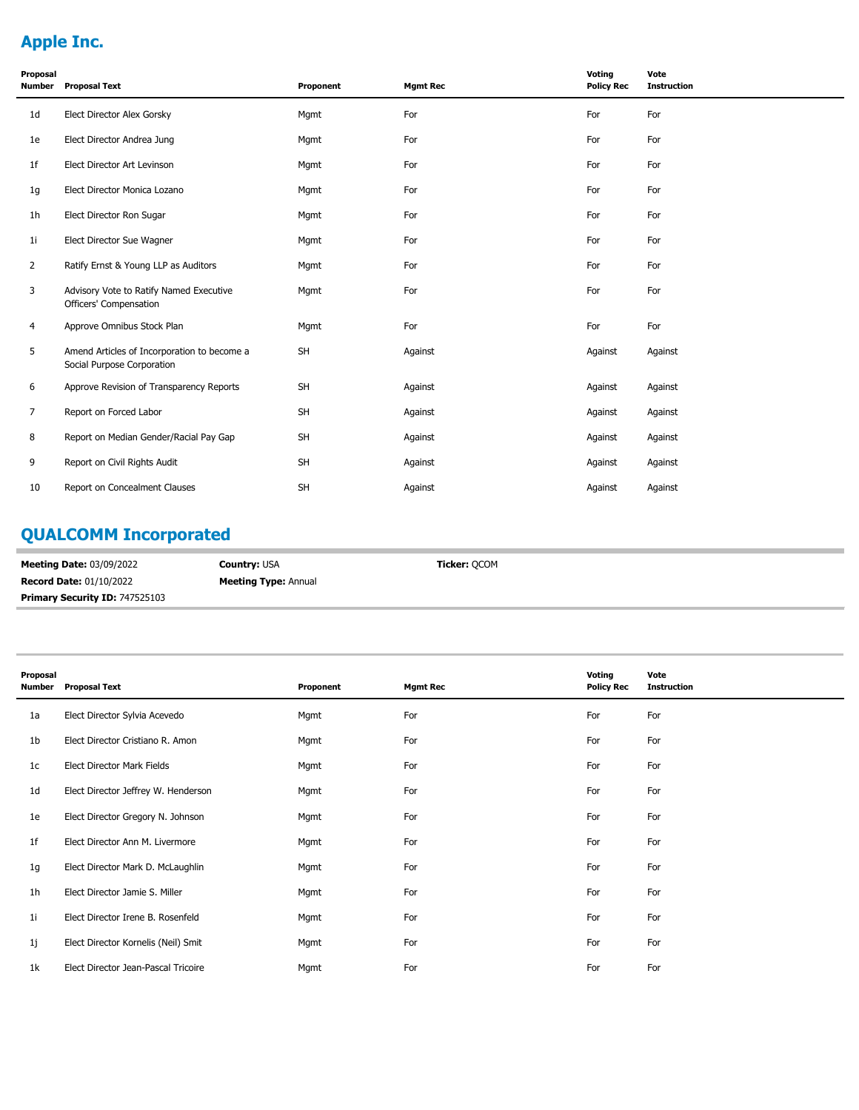# **Apple Inc.**

| Proposal<br>Number | <b>Proposal Text</b>                                                      | Proponent | <b>Mgmt Rec</b> | Voting<br><b>Policy Rec</b> | Vote<br><b>Instruction</b> |
|--------------------|---------------------------------------------------------------------------|-----------|-----------------|-----------------------------|----------------------------|
| 1 <sub>d</sub>     | Elect Director Alex Gorsky                                                | Mgmt      | For             | For                         | For                        |
| 1e                 | Elect Director Andrea Jung                                                | Mgmt      | For             | For                         | For                        |
| 1f                 | Elect Director Art Levinson                                               | Mgmt      | For             | For                         | For                        |
| 1g                 | Elect Director Monica Lozano                                              | Mgmt      | For             | For                         | For                        |
| 1h                 | Elect Director Ron Sugar                                                  | Mgmt      | For             | For                         | For                        |
| 1i                 | Elect Director Sue Wagner                                                 | Mgmt      | For             | For                         | For                        |
| $\overline{2}$     | Ratify Ernst & Young LLP as Auditors                                      | Mgmt      | For             | For                         | For                        |
| 3                  | Advisory Vote to Ratify Named Executive<br>Officers' Compensation         | Mgmt      | For             | For                         | For                        |
| 4                  | Approve Omnibus Stock Plan                                                | Mgmt      | For             | For                         | For                        |
| 5                  | Amend Articles of Incorporation to become a<br>Social Purpose Corporation | SH        | Against         | Against                     | Against                    |
| 6                  | Approve Revision of Transparency Reports                                  | <b>SH</b> | Against         | Against                     | Against                    |
| 7                  | Report on Forced Labor                                                    | <b>SH</b> | Against         | Against                     | Against                    |
| 8                  | Report on Median Gender/Racial Pay Gap                                    | SH        | Against         | Against                     | Against                    |
| 9                  | Report on Civil Rights Audit                                              | <b>SH</b> | Against         | Against                     | Against                    |
| 10                 | Report on Concealment Clauses                                             | SH        | Against         | Against                     | Against                    |

# **QUALCOMM Incorporated**

| <b>Meeting Date: 03/09/2022</b>       | <b>Country:</b> USA         | <b>Ticker:</b> OCOM |
|---------------------------------------|-----------------------------|---------------------|
| <b>Record Date: 01/10/2022</b>        | <b>Meeting Type: Annual</b> |                     |
| <b>Primary Security ID: 747525103</b> |                             |                     |

| Proposal<br><b>Number</b> | <b>Proposal Text</b>                | Proponent | <b>Mgmt Rec</b> | Voting<br><b>Policy Rec</b> | Vote<br><b>Instruction</b> |
|---------------------------|-------------------------------------|-----------|-----------------|-----------------------------|----------------------------|
| 1a                        | Elect Director Sylvia Acevedo       | Mgmt      | For             | For                         | For                        |
| 1b                        | Elect Director Cristiano R. Amon    | Mgmt      | For             | For                         | For                        |
| 1 <sub>c</sub>            | Elect Director Mark Fields          | Mgmt      | For             | For                         | For                        |
| 1 <sub>d</sub>            | Elect Director Jeffrey W. Henderson | Mgmt      | For             | For                         | For                        |
| 1e                        | Elect Director Gregory N. Johnson   | Mgmt      | For             | For                         | For                        |
| 1f                        | Elect Director Ann M. Livermore     | Mgmt      | For             | For                         | For                        |
| 1g                        | Elect Director Mark D. McLaughlin   | Mgmt      | For             | For                         | For                        |
| 1 <sub>h</sub>            | Elect Director Jamie S. Miller      | Mgmt      | For             | For                         | For                        |
| 1 <sub>i</sub>            | Elect Director Irene B. Rosenfeld   | Mgmt      | For             | For                         | For                        |
| 1j                        | Elect Director Kornelis (Neil) Smit | Mgmt      | For             | For                         | For                        |
| 1k                        | Elect Director Jean-Pascal Tricoire | Mgmt      | For             | For                         | For                        |